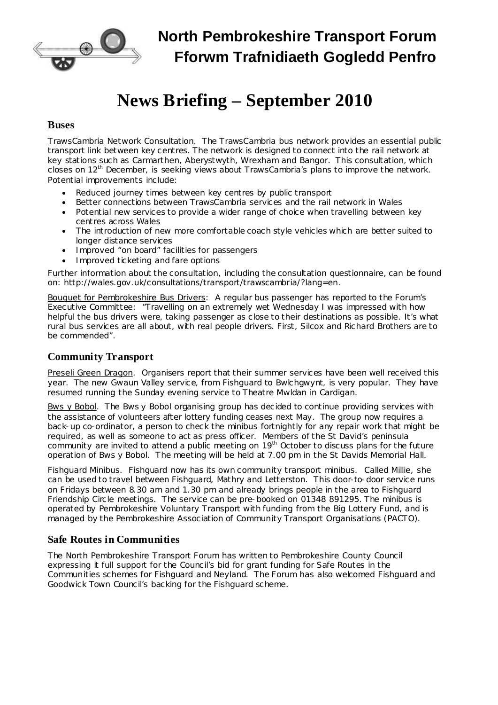

## **North Pembrokeshire Transport Forum Fforwm Trafnidiaeth Gogledd Penfro**

# **News Briefing – September 2010**

#### **Buses**

TrawsCambria Network Consultation. The TrawsCambria bus network provides an essential public transport link between key centres. The network is designed to connect into the rail network at key stations such as Carmarthen, Aberystwyth, Wrexham and Bangor. This consultation, which closes on 12<sup>th</sup> December, is seeking views about TrawsCambria's plans to improve the network. Potential improvements include:

- · Reduced journey times between key centres by public transport
- · Better connections between TrawsCambria services and the rail network in Wales
- · Potential new services to provide a wider range of choice when travelling between key centres across Wales
- · The introduction of new more comfortable coach style vehicles which are better suited to longer distance services
- · Improved "on board" facilities for passengers
- · Improved ticketing and fare options

Further information about the consultation, including the consultation questionnaire, can be found on: [http://wales.gov.uk/consultations/transport/trawscambria/?lang=en.](http://wales.gov.uk/consultations/transport/trawscambria/?lang=en)

Bouquet for Pembrokeshire Bus Drivers: A regular bus passenger has reported to the Forum's Executive Committee: "Travelling on an extremely wet Wednesday I was impressed with how helpful the bus drivers were, taking passenger as close to their destinations as possible. It's what rural bus services are all about, with real people drivers. First, Silcox and Richard Brothers are to be commended".

#### **Community Transport**

Preseli Green Dragon. Organisers report that their summer services have been well received this year. The new Gwaun Valley service, from Fishguard to Bwlchgwynt, is very popular. They have resumed running the Sunday evening service to Theatre Mwldan in Cardigan.

Bws y Bobol. The Bws y Bobol organising group has decided to continue providing services with the assistance of volunteers after lottery funding ceases next May. The group now requires a back-up co-ordinator, a person to check the minibus fortnightly for any repair work that might be required, as well as someone to act as press officer. Members of the St David's peninsula community are invited to attend a public meeting on 19<sup>th</sup> October to discuss plans for the future operation of Bws y Bobol. The meeting will be held at 7.00 pm in the St Davids Memorial Hall.

Fishguard Minibus. Fishguard now has its own community transport minibus. Called Millie, she can be used to travel between Fishguard, Mathry and Letterston. This door-to-door service runs on Fridays between 8.30 am and 1.30 pm and already brings people in the area to Fishguard Friendship Circle meetings. The service can be pre-booked on 01348 891295. The minibus is operated by Pembrokeshire Voluntary Transport with funding from the Big Lottery Fund, and is managed by the Pembrokeshire Association of Community Transport Organisations (PACTO).

#### **Safe Routes in Communities**

The North Pembrokeshire Transport Forum has written to Pembrokeshire County Council expressing it full support for the Council's bid for grant funding for Safe Routes in the Communities schemes for Fishguard and Neyland. The Forum has also welcomed Fishguard and Goodwick Town Council's backing for the Fishguard scheme.